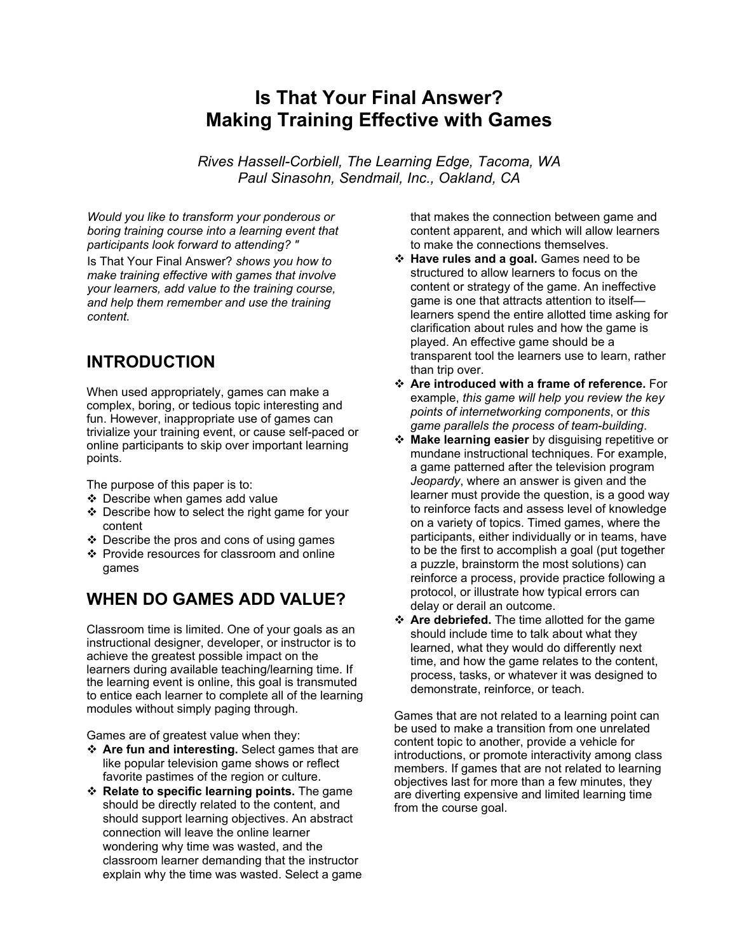# **Is That Your Final Answer? Making Training Effective with Games**

*Rives Hassell-Corbiell, The Learning Edge, Tacoma, WA Paul Sinasohn, Sendmail, Inc., Oakland, CA* 

*Would you like to transform your ponderous or boring training course into a learning event that participants look forward to attending? "* 

Is That Your Final Answer? *shows you how to make training effective with games that involve your learners, add value to the training course, and help them remember and use the training content.* 

### **INTRODUCTION**

When used appropriately, games can make a complex, boring, or tedious topic interesting and fun. However, inappropriate use of games can trivialize your training event, or cause self-paced or online participants to skip over important learning points.

The purpose of this paper is to:

- Describe when games add value
- Describe how to select the right game for your content
- $\div$  Describe the pros and cons of using games
- ❖ Provide resources for classroom and online games

#### **WHEN DO GAMES ADD VALUE?**

Classroom time is limited. One of your goals as an instructional designer, developer, or instructor is to achieve the greatest possible impact on the learners during available teaching/learning time. If the learning event is online, this goal is transmuted to entice each learner to complete all of the learning modules without simply paging through.

Games are of greatest value when they:

- **Are fun and interesting.** Select games that are like popular television game shows or reflect favorite pastimes of the region or culture.
- **Relate to specific learning points.** The game should be directly related to the content, and should support learning objectives. An abstract connection will leave the online learner wondering why time was wasted, and the classroom learner demanding that the instructor explain why the time was wasted. Select a game

that makes the connection between game and content apparent, and which will allow learners to make the connections themselves.

- **Have rules and a goal.** Games need to be structured to allow learners to focus on the content or strategy of the game. An ineffective game is one that attracts attention to itself learners spend the entire allotted time asking for clarification about rules and how the game is played. An effective game should be a transparent tool the learners use to learn, rather than trip over.
- **Are introduced with a frame of reference.** For example, *this game will help you review the key points of internetworking components*, or *this game parallels the process of team-building*.
- **Make learning easier** by disguising repetitive or mundane instructional techniques. For example, a game patterned after the television program *Jeopardy*, where an answer is given and the learner must provide the question, is a good way to reinforce facts and assess level of knowledge on a variety of topics. Timed games, where the participants, either individually or in teams, have to be the first to accomplish a goal (put together a puzzle, brainstorm the most solutions) can reinforce a process, provide practice following a protocol, or illustrate how typical errors can delay or derail an outcome.
- **Are debriefed.** The time allotted for the game should include time to talk about what they learned, what they would do differently next time, and how the game relates to the content, process, tasks, or whatever it was designed to demonstrate, reinforce, or teach.

Games that are not related to a learning point can be used to make a transition from one unrelated content topic to another, provide a vehicle for introductions, or promote interactivity among class members. If games that are not related to learning objectives last for more than a few minutes, they are diverting expensive and limited learning time from the course goal.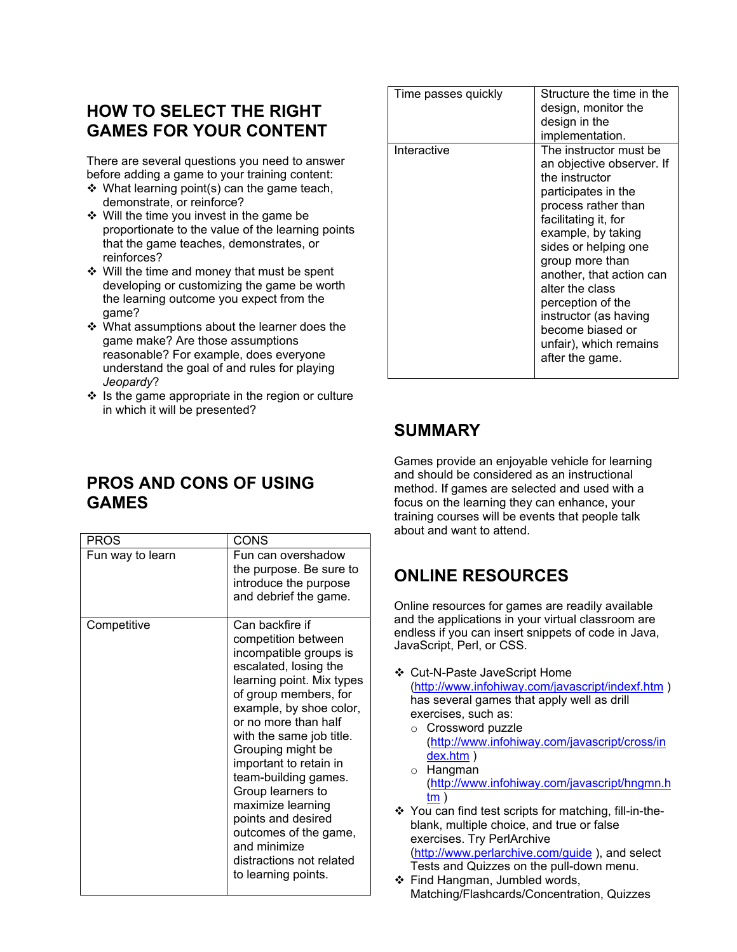### **HOW TO SELECT THE RIGHT GAMES FOR YOUR CONTENT**

There are several questions you need to answer before adding a game to your training content:

- $\div$  What learning point(s) can the game teach, demonstrate, or reinforce?
- $\div$  Will the time you invest in the game be proportionate to the value of the learning points that the game teaches, demonstrates, or reinforces?
- ❖ Will the time and money that must be spent developing or customizing the game be worth the learning outcome you expect from the game?
- ❖ What assumptions about the learner does the game make? Are those assumptions reasonable? For example, does everyone understand the goal of and rules for playing *Jeopardy*?
- $\div$  Is the game appropriate in the region or culture in which it will be presented?

| Time passes quickly | Structure the time in the                                                                                                                                                                                                                                                                           |
|---------------------|-----------------------------------------------------------------------------------------------------------------------------------------------------------------------------------------------------------------------------------------------------------------------------------------------------|
|                     | design, monitor the                                                                                                                                                                                                                                                                                 |
|                     | design in the                                                                                                                                                                                                                                                                                       |
|                     |                                                                                                                                                                                                                                                                                                     |
| Interactive         | implementation.<br>The instructor must be<br>an objective observer. If<br>the instructor<br>participates in the<br>process rather than<br>facilitating it, for<br>example, by taking<br>sides or helping one<br>group more than<br>another, that action can<br>alter the class<br>perception of the |
|                     | instructor (as having<br>become biased or<br>unfair), which remains<br>after the game.                                                                                                                                                                                                              |
|                     |                                                                                                                                                                                                                                                                                                     |

## **SUMMARY**

**PROS AND CONS OF USING GAMES** 

| PROS             | CONS                                                                                                                                                                                                                                                                                                                                                                                                                                                              |
|------------------|-------------------------------------------------------------------------------------------------------------------------------------------------------------------------------------------------------------------------------------------------------------------------------------------------------------------------------------------------------------------------------------------------------------------------------------------------------------------|
| Fun way to learn | Fun can overshadow<br>the purpose. Be sure to<br>introduce the purpose<br>and debrief the game.                                                                                                                                                                                                                                                                                                                                                                   |
| Competitive      | Can backfire if<br>competition between<br>incompatible groups is<br>escalated, losing the<br>learning point. Mix types<br>of group members, for<br>example, by shoe color,<br>or no more than half<br>with the same job title.<br>Grouping might be<br>important to retain in<br>team-building games.<br>Group learners to<br>maximize learning<br>points and desired<br>outcomes of the game,<br>and minimize<br>distractions not related<br>to learning points. |

Games provide an enjoyable vehicle for learning and should be considered as an instructional method. If games are selected and used with a focus on the learning they can enhance, your training courses will be events that people talk about and want to attend.

# **ONLINE RESOURCES**

Online resources for games are readily available and the applications in your virtual classroom are endless if you can insert snippets of code in Java, JavaScript, Perl, or CSS.

- Cut-N-Paste JaveScript Home (http://www.infohiway.com/javascript/indexf.htm ) has several games that apply well as drill exercises, such as:
	- o Crossword puzzle ([http://www.infohiway.com/javascript/cross/in](http://www.infohiway.com/javascript/cross/index.htm) [dex.htm](http://www.infohiway.com/javascript/cross/index.htm) )
	- o Hangman ([http://www.infohiway.com/javascript/hngmn.h](http://www.infohiway.com/javascript/hngmn.htm) [tm](http://www.infohiway.com/javascript/hngmn.htm) )
- ❖ You can find test scripts for matching, fill-in-theblank, multiple choice, and true or false exercises. Try PerlArchive (http://www.perlarchive.com/guide ), and select
	- Tests and Quizzes on the pull-down menu.
- ❖ Find Hangman, Jumbled words, Matching/Flashcards/Concentration, Quizzes